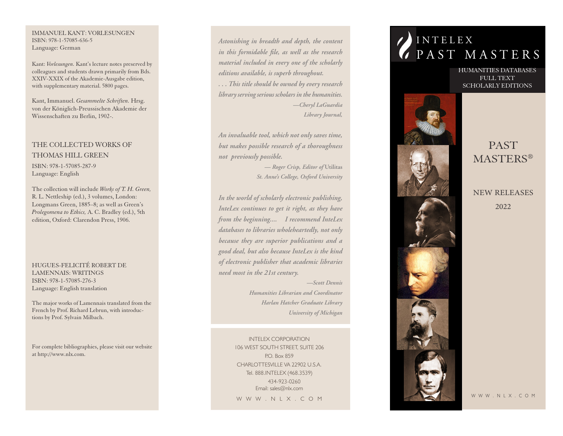#### IMMANUEL KANT: VORLESUNGEN ISBN: 978-1-57085-636-5 Language: German

Kant: *Vorlesungen.* Kant's lecture notes preserved by colleagues and students drawn primarily from Bds. XXIV-XXIX of the Akademie-Ausgabe edition, with supplementary material. 5800 pages.

Kant, Immanuel. *Gesammelte Schriften.* Hrsg. von der Königlich-Preussischen Akademie der Wissenschaften zu Berlin, 1902-.

## THE COLLECTED WORKS OF THOMAS HILL GREEN

ISBN: 978-1-57085-287-9 Language: English

The collection will include *Works of T. H. Green,*  R. L. Nettleship (ed.), 3 volumes, London: Longmans Green, 1885–8; as well as Green's *Prolegomena to Ethics,* A. C. Bradley (ed.), 5th edition, Oxford: Clarendon Press, 1906.

HUGUES-FELICITÉ ROBERT DE LAMENNAIS: WRITINGS ISBN: 978-1-57085-276-3 Language: English translation

The major works of Lamennais translated from the French by Prof. Richard Lebrun, with introductions by Prof. Sylvain Milbach.

For complete bibliographies, please visit our website at http://www.nlx.com.

*Astonishing in breadth and depth, the content in this formidable file, as well as the research material included in every one of the scholarly editions available, is superb throughout. . . . This title should be owned by every research library serving serious scholars in the humanities. —Cheryl LaGuardia Library Journal,*

*An invaluable tool, which not only saves time, but makes possible research of a thoroughness not previously possible.*

> *— Roger Crisp, Editor of* **Utilitas** *St. Anne's College, Oxford University*

*In the world of scholarly electronic publishing, InteLex continues to get it right, as they have from the beginning.... I recommend InteLex databases to libraries wholeheartedly, not only because they are superior publications and a good deal, but also because InteLex is the kind of electronic publisher that academic libraries need most in the 21st century.*

*—Scott Dennis*

*Humanities Librarian and Coordinator Harlan Hatcher Graduate Library University of Michigan* 

INTELEX CORPORATION 106 WEST SOUTH STREET, SUITE 206 P.O. Box 859 CHARLOTTESVILLE VA 22902 U.S.A. Tel. 888.INTELEX (468.3539) 434-923-0260 Email: sales@nlx.com

W W W . N L X . C O M

# **INTELEX**  $V$  PAST MASTERS

HUMANITIES DATABASES FULL TEXT SCHOLARLY EDITIONS



## PAST MASTERS ®

NEW RELEASES 2022